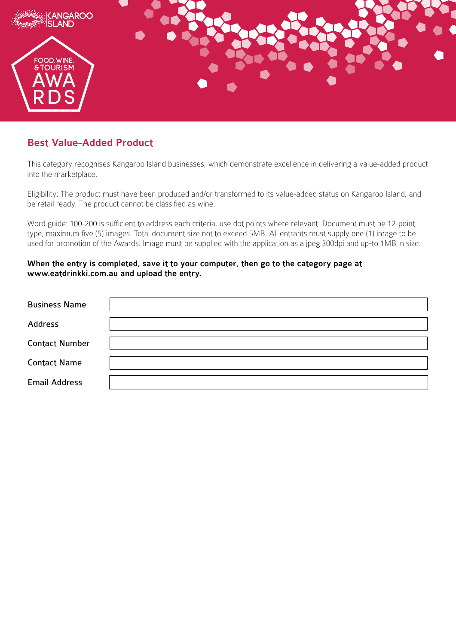

## Best Value-Added Product

This category recognises Kangaroo Island businesses, which demonstrate excellence in delivering a value-added product into the marketplace.

Eligibility: The product must have been produced and/or transformed to its value-added status on Kangaroo Island, and be retail ready. The product cannot be classified as wine.

Word guide: 100-200 is sufficient to address each criteria, use dot points where relevant. Document must be 12-point type, maximum five (5) images. Total document size not to exceed 5MB. All entrants must supply one (1) image to be used for promotion of the Awards. Image must be supplied with the application as a jpeg 300dpi and up-to 1MB in size.

## When the entry is completed, save it to your computer, then go to the category page at www.eatdrinkki.com.au and upload the entry.

| <b>Business Name</b>  |  |
|-----------------------|--|
| <b>Address</b>        |  |
| <b>Contact Number</b> |  |
| <b>Contact Name</b>   |  |
| <b>Email Address</b>  |  |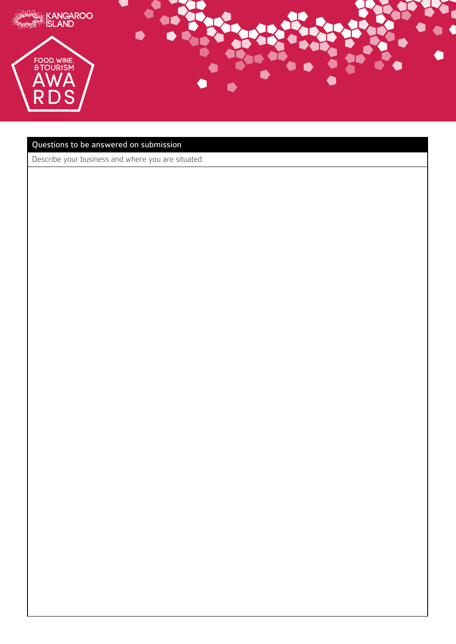

## Questions to be answered on submission

Describe your business and where you are situated.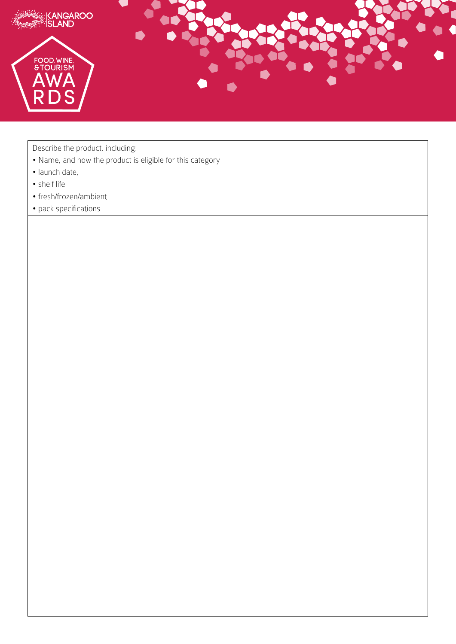

Describe the product, including:

- Name, and how the product is eligible for this category
- launch date,
- shelf life
- fresh/frozen/ambient
- pack specifications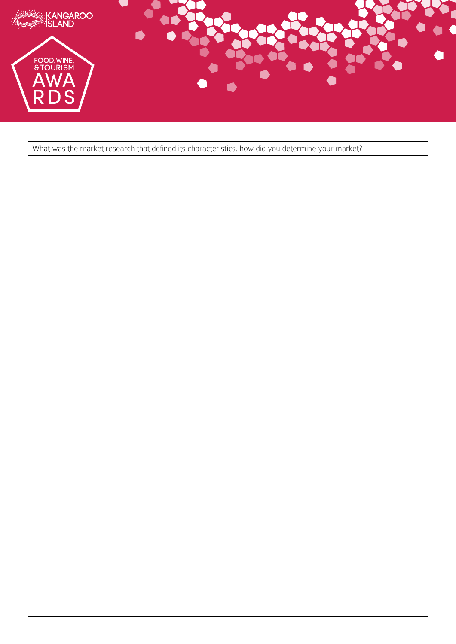

What was the market research that defined its characteristics, how did you determine your market?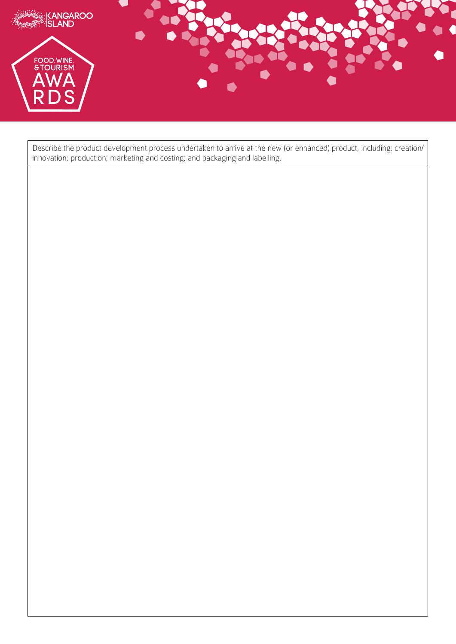

Describe the product development process undertaken to arrive at the new (or enhanced) product, including: creation/ innovation; production; marketing and costing; and packaging and labelling.